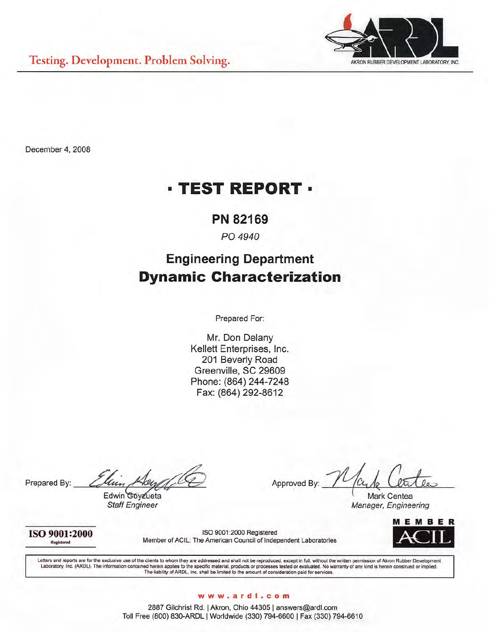

December 4, 2008

# **· TEST REPORT ·**

# PN 82169

## PO 4940

# **Engineering Department Dynamic Characterization**

Prepared For:

Mr. Don Delany Kellett Enterprises, Inc. 201 Beverly Road Greenville, SC 29609 Phone: (864) 244-7248 Fax: (864) 292-8612

Prepared By:

Edwin Goyzueta **Staff Engineer** 

Approved By

Mark Centea Manager, Engineering

ISO 9001:2000 Registered

ISO 9001:2000 Registered Member of ACIL: The American Council of Independent Laboratories



Letters and reports are for the exclusive use of the clients to whom they are addressed and shall not be reproduced, except in full, without the written permission of Akron Rubber Development Laboratory, Inc. (ARDL). The information contained herein applies to the specific material, products or processes tested or evaluated. No warranty of any kind is herein construed or implied.<br>The liability of ARDL, Inc. sha

#### www.ardl.com

2887 Gilchrist Rd. | Akron, Ohio 44305 | answers@ardl.com Toll Free (800) 830-ARDL | Worldwide (330) 794-6600 | Fax (330) 794-6610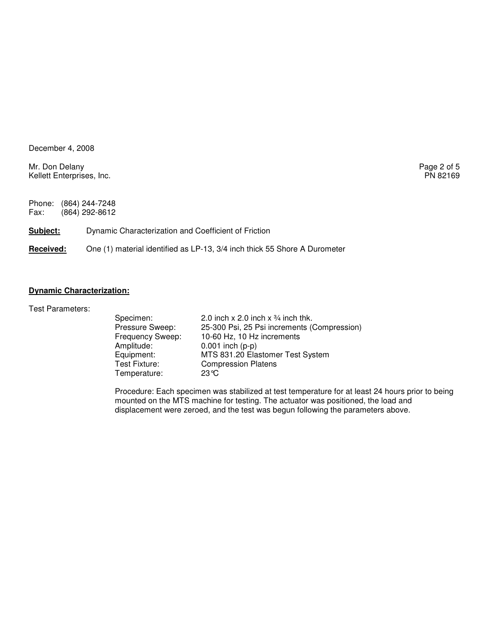December 4, 2008

Mr. Don Delany Page 2 of 5<br>
Kellett Enterprises, Inc. Production of the extent of the extent of the PN 82169 Kellett Enterprises, Inc.

Phone: (864) 244-7248<br>Fax: (864) 292-8612 (864) 292-8612

**Subject:** Dynamic Characterization and Coefficient of Friction

**Received:** One (1) material identified as LP-13, 3/4 inch thick 55 Shore A Durometer

## **Dynamic Characterization:**

Test Parameters:

| Specimen:        | 2.0 inch x 2.0 inch x $\frac{3}{4}$ inch thk. |
|------------------|-----------------------------------------------|
| Pressure Sweep:  | 25-300 Psi, 25 Psi increments (Compression)   |
| Frequency Sweep: | 10-60 Hz, 10 Hz increments                    |
| Amplitude:       | $0.001$ inch (p-p)                            |
| Equipment:       | MTS 831.20 Elastomer Test System              |
| Test Fixture:    | <b>Compression Platens</b>                    |
| Temperature:     | $23^\circ C$                                  |

Procedure: Each specimen was stabilized at test temperature for at least 24 hours prior to being mounted on the MTS machine for testing. The actuator was positioned, the load and displacement were zeroed, and the test was begun following the parameters above.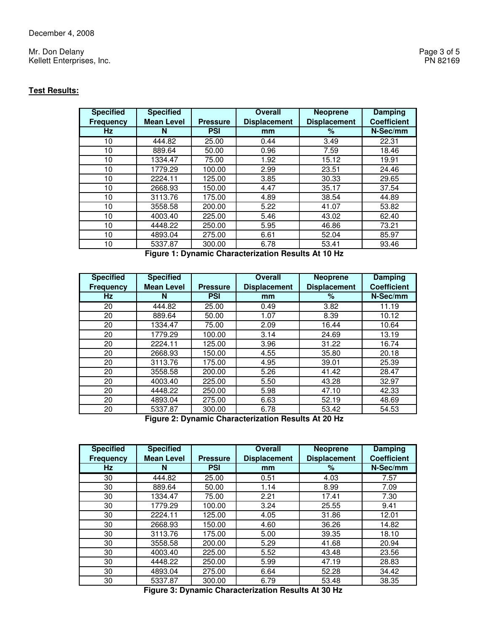Mr. Don Delany Page 3 of 5<br>
Kellett Enterprises, Inc. 2008 and 2009 and 2009 and 2009 and 2009 and 2009 and 2009 and 2009 and 2009 and 20<br>
PN 82169 Kellett Enterprises, Inc.

### **Test Results:**

| <b>Specified</b> | <b>Specified</b>  |                 | <b>Overall</b>      | <b>Neoprene</b>     | <b>Damping</b>     |
|------------------|-------------------|-----------------|---------------------|---------------------|--------------------|
| <b>Frequency</b> | <b>Mean Level</b> | <b>Pressure</b> | <b>Displacement</b> | <b>Displacement</b> | <b>Coefficient</b> |
| <b>Hz</b>        | N                 | <b>PSI</b>      | mm                  | %                   | N-Sec/mm           |
| 10               | 444.82            | 25.00           | 0.44                | 3.49                | 22.31              |
| 10               | 889.64            | 50.00           | 0.96                | 7.59                | 18.46              |
| 10               | 1334.47           | 75.00           | 1.92                | 15.12               | 19.91              |
| 10               | 1779.29           | 100.00          | 2.99                | 23.51               | 24.46              |
| 10               | 2224.11           | 125.00          | 3.85                | 30.33               | 29.65              |
| 10               | 2668.93           | 150.00          | 4.47                | 35.17               | 37.54              |
| 10               | 3113.76           | 175.00          | 4.89                | 38.54               | 44.89              |
| 10               | 3558.58           | 200.00          | 5.22                | 41.07               | 53.82              |
| 10               | 4003.40           | 225.00          | 5.46                | 43.02               | 62.40              |
| 10               | 4448.22           | 250.00          | 5.95                | 46.86               | 73.21              |
| 10               | 4893.04           | 275.00          | 6.61                | 52.04               | 85.97              |
| 10               | 5337.87           | 300.00          | 6.78                | 53.41               | 93.46              |

**Figure 1: Dynamic Characterization Results At 10 Hz** 

| <b>Specified</b> | <b>Specified</b>  |                 | <b>Overall</b>      | <b>Neoprene</b>     | <b>Damping</b>     |
|------------------|-------------------|-----------------|---------------------|---------------------|--------------------|
| <b>Frequency</b> | <b>Mean Level</b> | <b>Pressure</b> | <b>Displacement</b> | <b>Displacement</b> | <b>Coefficient</b> |
| <b>Hz</b>        | N                 | <b>PSI</b>      | mm                  | %                   | N-Sec/mm           |
| 20               | 444.82            | 25.00           | 0.49                | 3.82                | 11.19              |
| 20               | 889.64            | 50.00           | 1.07                | 8.39                | 10.12              |
| 20               | 1334.47           | 75.00           | 2.09                | 16.44               | 10.64              |
| 20               | 1779.29           | 100.00          | 3.14                | 24.69               | 13.19              |
| 20               | 2224.11           | 125.00          | 3.96                | 31.22               | 16.74              |
| 20               | 2668.93           | 150.00          | 4.55                | 35.80               | 20.18              |
| 20               | 3113.76           | 175.00          | 4.95                | 39.01               | 25.39              |
| 20               | 3558.58           | 200.00          | 5.26                | 41.42               | 28.47              |
| 20               | 4003.40           | 225.00          | 5.50                | 43.28               | 32.97              |
| 20               | 4448.22           | 250.00          | 5.98                | 47.10               | 42.33              |
| 20               | 4893.04           | 275.00          | 6.63                | 52.19               | 48.69              |
| 20               | 5337.87           | 300.00          | 6.78                | 53.42               | 54.53              |

**Figure 2: Dynamic Characterization Results At 20 Hz** 

| <b>Specified</b> | <b>Specified</b>  |                 | <b>Overall</b>      | <b>Neoprene</b>     | <b>Damping</b>     |
|------------------|-------------------|-----------------|---------------------|---------------------|--------------------|
| <b>Frequency</b> | <b>Mean Level</b> | <b>Pressure</b> | <b>Displacement</b> | <b>Displacement</b> | <b>Coefficient</b> |
| Hz               | N                 | <b>PSI</b>      | mm                  | %                   | N-Sec/mm           |
| 30               | 444.82            | 25.00           | 0.51                | 4.03                | 7.57               |
| 30               | 889.64            | 50.00           | 1.14                | 8.99                | 7.09               |
| 30               | 1334.47           | 75.00           | 2.21                | 17.41               | 7.30               |
| 30               | 1779.29           | 100.00          | 3.24                | 25.55               | 9.41               |
| 30               | 2224.11           | 125.00          | 4.05                | 31.86               | 12.01              |
| 30               | 2668.93           | 150.00          | 4.60                | 36.26               | 14.82              |
| 30               | 3113.76           | 175.00          | 5.00                | 39.35               | 18.10              |
| 30               | 3558.58           | 200.00          | 5.29                | 41.68               | 20.94              |
| 30               | 4003.40           | 225.00          | 5.52                | 43.48               | 23.56              |
| 30               | 4448.22           | 250.00          | 5.99                | 47.19               | 28.83              |
| 30               | 4893.04           | 275.00          | 6.64                | 52.28               | 34.42              |
| 30               | 5337.87           | 300.00          | 6.79                | 53.48               | 38.35              |

**Figure 3: Dynamic Characterization Results At 30 Hz**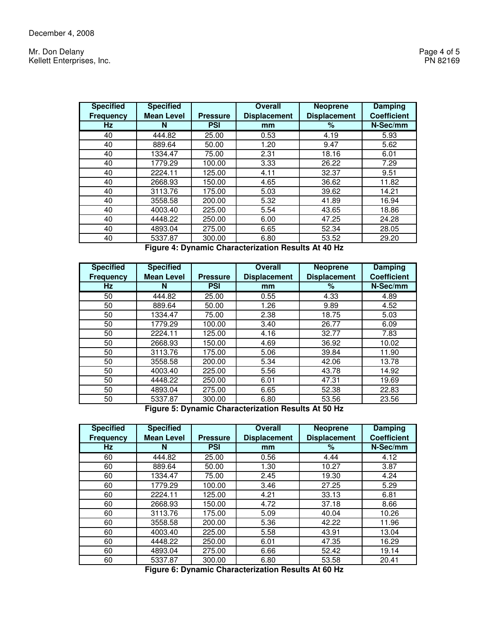Mr. Don Delany Page 4 of 5<br>
Kellett Enterprises, Inc. 2008 Page 4 of 5 Kellett Enterprises, Inc.

| <b>Specified</b> | <b>Specified</b>  |                 | <b>Overall</b>      | <b>Neoprene</b>     | <b>Damping</b>     |
|------------------|-------------------|-----------------|---------------------|---------------------|--------------------|
| <b>Frequency</b> | <b>Mean Level</b> | <b>Pressure</b> | <b>Displacement</b> | <b>Displacement</b> | <b>Coefficient</b> |
| Hz               | N                 | <b>PSI</b>      | mm                  | %                   | N-Sec/mm           |
| 40               | 444.82            | 25.00           | 0.53                | 4.19                | 5.93               |
| 40               | 889.64            | 50.00           | 1.20                | 9.47                | 5.62               |
| 40               | 1334.47           | 75.00           | 2.31                | 18.16               | 6.01               |
| 40               | 1779.29           | 100.00          | 3.33                | 26.22               | 7.29               |
| 40               | 2224.11           | 125.00          | 4.11                | 32.37               | 9.51               |
| 40               | 2668.93           | 150.00          | 4.65                | 36.62               | 11.82              |
| 40               | 3113.76           | 175.00          | 5.03                | 39.62               | 14.21              |
| 40               | 3558.58           | 200.00          | 5.32                | 41.89               | 16.94              |
| 40               | 4003.40           | 225.00          | 5.54                | 43.65               | 18.86              |
| 40               | 4448.22           | 250.00          | 6.00                | 47.25               | 24.28              |
| 40               | 4893.04           | 275.00          | 6.65                | 52.34               | 28.05              |
| 40               | 5337.87           | 300.00          | 6.80                | 53.52               | 29.20              |

**Figure 4: Dynamic Characterization Results At 40 Hz** 

| <b>Specified</b> | <b>Specified</b>  |                 | <b>Overall</b>      | <b>Neoprene</b>     | <b>Damping</b>     |
|------------------|-------------------|-----------------|---------------------|---------------------|--------------------|
| <b>Frequency</b> | <b>Mean Level</b> | <b>Pressure</b> | <b>Displacement</b> | <b>Displacement</b> | <b>Coefficient</b> |
| <b>Hz</b>        | N                 | <b>PSI</b>      | mm                  | %                   | N-Sec/mm           |
| 50               | 444.82            | 25.00           | 0.55                | 4.33                | 4.89               |
| 50               | 889.64            | 50.00           | 1.26                | 9.89                | 4.52               |
| 50               | 1334.47           | 75.00           | 2.38                | 18.75               | 5.03               |
| 50               | 1779.29           | 100.00          | 3.40                | 26.77               | 6.09               |
| 50               | 2224.11           | 125.00          | 4.16                | 32.77               | 7.83               |
| 50               | 2668.93           | 150.00          | 4.69                | 36.92               | 10.02              |
| 50               | 3113.76           | 175.00          | 5.06                | 39.84               | 11.90              |
| 50               | 3558.58           | 200.00          | 5.34                | 42.06               | 13.78              |
| 50               | 4003.40           | 225.00          | 5.56                | 43.78               | 14.92              |
| 50               | 4448.22           | 250.00          | 6.01                | 47.31               | 19.69              |
| 50               | 4893.04           | 275.00          | 6.65                | 52.38               | 22.83              |
| 50               | 5337.87           | 300.00          | 6.80                | 53.56               | 23.56              |

**Figure 5: Dynamic Characterization Results At 50 Hz** 

| <b>Specified</b> | <b>Specified</b>  |                 | <b>Overall</b>      | <b>Neoprene</b>     | <b>Damping</b>     |
|------------------|-------------------|-----------------|---------------------|---------------------|--------------------|
| <b>Frequency</b> | <b>Mean Level</b> | <b>Pressure</b> | <b>Displacement</b> | <b>Displacement</b> | <b>Coefficient</b> |
| <b>Hz</b>        | N                 | <b>PSI</b>      | mm                  | %                   | N-Sec/mm           |
| 60               | 444.82            | 25.00           | 0.56                | 4.44                | 4.12               |
| 60               | 889.64            | 50.00           | 1.30                | 10.27               | 3.87               |
| 60               | 1334.47           | 75.00           | 2.45                | 19.30               | 4.24               |
| 60               | 1779.29           | 100.00          | 3.46                | 27.25               | 5.29               |
| 60               | 2224.11           | 125.00          | 4.21                | 33.13               | 6.81               |
| 60               | 2668.93           | 150.00          | 4.72                | 37.18               | 8.66               |
| 60               | 3113.76           | 175.00          | 5.09                | 40.04               | 10.26              |
| 60               | 3558.58           | 200.00          | 5.36                | 42.22               | 11.96              |
| 60               | 4003.40           | 225.00          | 5.58                | 43.91               | 13.04              |
| 60               | 4448.22           | 250.00          | 6.01                | 47.35               | 16.29              |
| 60               | 4893.04           | 275.00          | 6.66                | 52.42               | 19.14              |
| 60               | 5337.87           | 300.00          | 6.80                | 53.58               | 20.41              |

**Figure 6: Dynamic Characterization Results At 60 Hz**